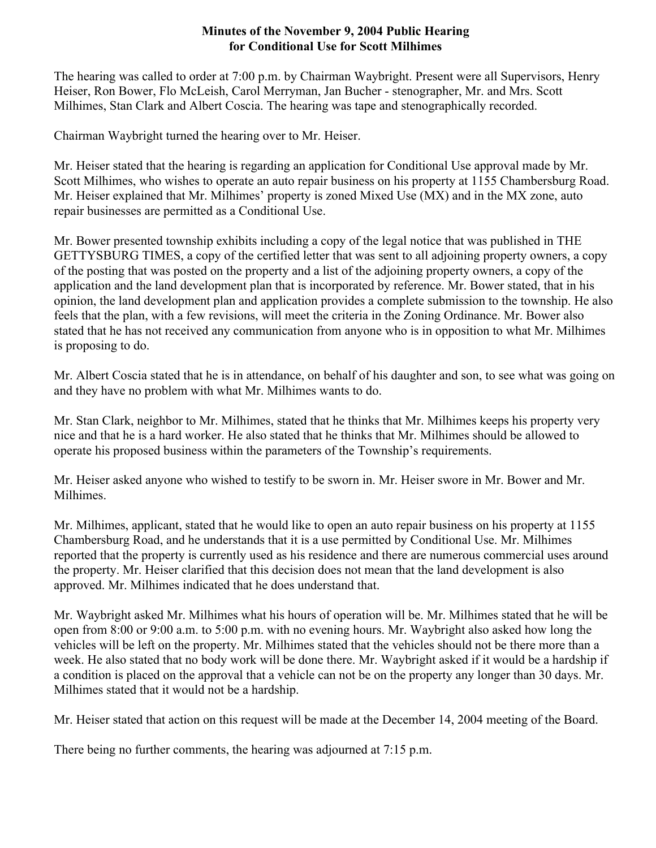## **Minutes of the November 9, 2004 Public Hearing for Conditional Use for Scott Milhimes**

The hearing was called to order at 7:00 p.m. by Chairman Waybright. Present were all Supervisors, Henry Heiser, Ron Bower, Flo McLeish, Carol Merryman, Jan Bucher - stenographer, Mr. and Mrs. Scott Milhimes, Stan Clark and Albert Coscia. The hearing was tape and stenographically recorded.

Chairman Waybright turned the hearing over to Mr. Heiser.

Mr. Heiser stated that the hearing is regarding an application for Conditional Use approval made by Mr. Scott Milhimes, who wishes to operate an auto repair business on his property at 1155 Chambersburg Road. Mr. Heiser explained that Mr. Milhimes' property is zoned Mixed Use (MX) and in the MX zone, auto repair businesses are permitted as a Conditional Use.

Mr. Bower presented township exhibits including a copy of the legal notice that was published in THE GETTYSBURG TIMES, a copy of the certified letter that was sent to all adjoining property owners, a copy of the posting that was posted on the property and a list of the adjoining property owners, a copy of the application and the land development plan that is incorporated by reference. Mr. Bower stated, that in his opinion, the land development plan and application provides a complete submission to the township. He also feels that the plan, with a few revisions, will meet the criteria in the Zoning Ordinance. Mr. Bower also stated that he has not received any communication from anyone who is in opposition to what Mr. Milhimes is proposing to do.

Mr. Albert Coscia stated that he is in attendance, on behalf of his daughter and son, to see what was going on and they have no problem with what Mr. Milhimes wants to do.

Mr. Stan Clark, neighbor to Mr. Milhimes, stated that he thinks that Mr. Milhimes keeps his property very nice and that he is a hard worker. He also stated that he thinks that Mr. Milhimes should be allowed to operate his proposed business within the parameters of the Township's requirements.

Mr. Heiser asked anyone who wished to testify to be sworn in. Mr. Heiser swore in Mr. Bower and Mr. Milhimes.

Mr. Milhimes, applicant, stated that he would like to open an auto repair business on his property at 1155 Chambersburg Road, and he understands that it is a use permitted by Conditional Use. Mr. Milhimes reported that the property is currently used as his residence and there are numerous commercial uses around the property. Mr. Heiser clarified that this decision does not mean that the land development is also approved. Mr. Milhimes indicated that he does understand that.

Mr. Waybright asked Mr. Milhimes what his hours of operation will be. Mr. Milhimes stated that he will be open from 8:00 or 9:00 a.m. to 5:00 p.m. with no evening hours. Mr. Waybright also asked how long the vehicles will be left on the property. Mr. Milhimes stated that the vehicles should not be there more than a week. He also stated that no body work will be done there. Mr. Waybright asked if it would be a hardship if a condition is placed on the approval that a vehicle can not be on the property any longer than 30 days. Mr. Milhimes stated that it would not be a hardship.

Mr. Heiser stated that action on this request will be made at the December 14, 2004 meeting of the Board.

There being no further comments, the hearing was adjourned at 7:15 p.m.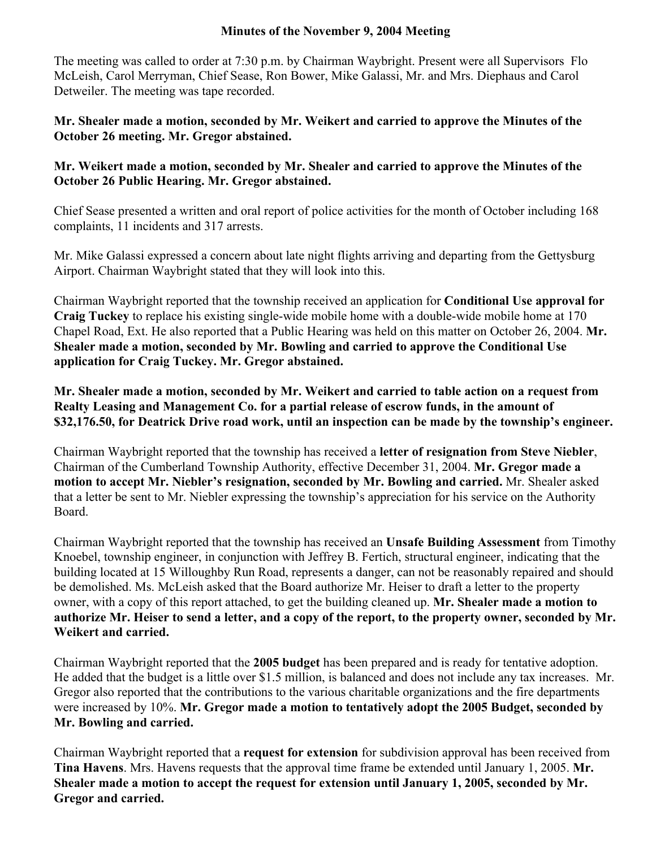## **Minutes of the November 9, 2004 Meeting**

The meeting was called to order at 7:30 p.m. by Chairman Waybright. Present were all Supervisors Flo McLeish, Carol Merryman, Chief Sease, Ron Bower, Mike Galassi, Mr. and Mrs. Diephaus and Carol Detweiler. The meeting was tape recorded.

**Mr. Shealer made a motion, seconded by Mr. Weikert and carried to approve the Minutes of the October 26 meeting. Mr. Gregor abstained.**

## **Mr. Weikert made a motion, seconded by Mr. Shealer and carried to approve the Minutes of the October 26 Public Hearing. Mr. Gregor abstained.**

Chief Sease presented a written and oral report of police activities for the month of October including 168 complaints, 11 incidents and 317 arrests.

Mr. Mike Galassi expressed a concern about late night flights arriving and departing from the Gettysburg Airport. Chairman Waybright stated that they will look into this.

Chairman Waybright reported that the township received an application for **Conditional Use approval for Craig Tuckey** to replace his existing single-wide mobile home with a double-wide mobile home at 170 Chapel Road, Ext. He also reported that a Public Hearing was held on this matter on October 26, 2004. **Mr. Shealer made a motion, seconded by Mr. Bowling and carried to approve the Conditional Use application for Craig Tuckey. Mr. Gregor abstained.**

**Mr. Shealer made a motion, seconded by Mr. Weikert and carried to table action on a request from Realty Leasing and Management Co. for a partial release of escrow funds, in the amount of \$32,176.50, for Deatrick Drive road work, until an inspection can be made by the township's engineer.** 

Chairman Waybright reported that the township has received a **letter of resignation from Steve Niebler**, Chairman of the Cumberland Township Authority, effective December 31, 2004. **Mr. Gregor made a motion to accept Mr. Niebler's resignation, seconded by Mr. Bowling and carried.** Mr. Shealer asked that a letter be sent to Mr. Niebler expressing the township's appreciation for his service on the Authority Board.

Chairman Waybright reported that the township has received an **Unsafe Building Assessment** from Timothy Knoebel, township engineer, in conjunction with Jeffrey B. Fertich, structural engineer, indicating that the building located at 15 Willoughby Run Road, represents a danger, can not be reasonably repaired and should be demolished. Ms. McLeish asked that the Board authorize Mr. Heiser to draft a letter to the property owner, with a copy of this report attached, to get the building cleaned up. **Mr. Shealer made a motion to authorize Mr. Heiser to send a letter, and a copy of the report, to the property owner, seconded by Mr. Weikert and carried.** 

Chairman Waybright reported that the **2005 budget** has been prepared and is ready for tentative adoption. He added that the budget is a little over \$1.5 million, is balanced and does not include any tax increases. Mr. Gregor also reported that the contributions to the various charitable organizations and the fire departments were increased by 10%. **Mr. Gregor made a motion to tentatively adopt the 2005 Budget, seconded by Mr. Bowling and carried.** 

Chairman Waybright reported that a **request for extension** for subdivision approval has been received from **Tina Havens**. Mrs. Havens requests that the approval time frame be extended until January 1, 2005. **Mr. Shealer made a motion to accept the request for extension until January 1, 2005, seconded by Mr. Gregor and carried.**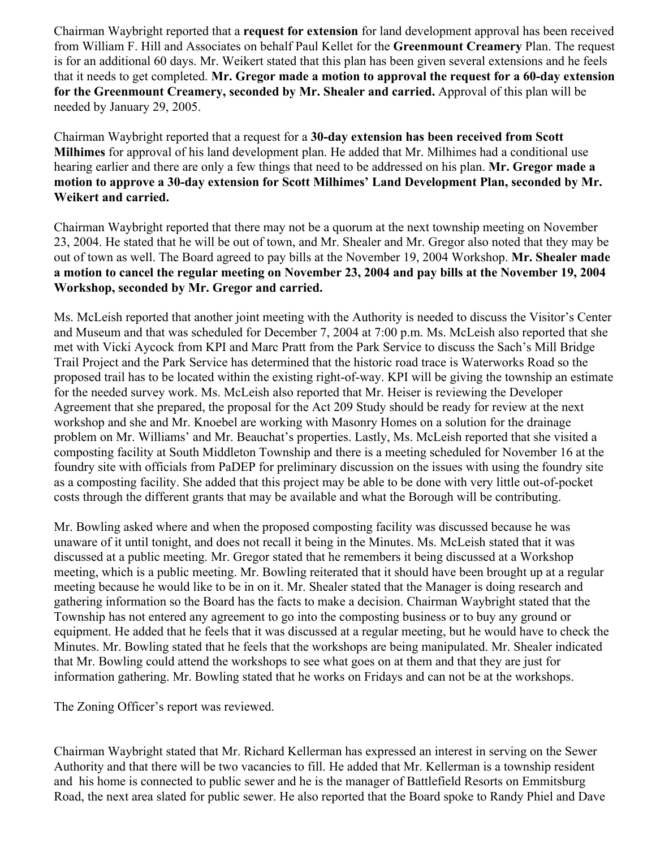Chairman Waybright reported that a **request for extension** for land development approval has been received from William F. Hill and Associates on behalf Paul Kellet for the **Greenmount Creamery** Plan. The request is for an additional 60 days. Mr. Weikert stated that this plan has been given several extensions and he feels that it needs to get completed. **Mr. Gregor made a motion to approval the request for a 60-day extension for the Greenmount Creamery, seconded by Mr. Shealer and carried.** Approval of this plan will be needed by January 29, 2005.

Chairman Waybright reported that a request for a **30-day extension has been received from Scott Milhimes** for approval of his land development plan. He added that Mr. Milhimes had a conditional use hearing earlier and there are only a few things that need to be addressed on his plan. **Mr. Gregor made a motion to approve a 30-day extension for Scott Milhimes' Land Development Plan, seconded by Mr. Weikert and carried.**

Chairman Waybright reported that there may not be a quorum at the next township meeting on November 23, 2004. He stated that he will be out of town, and Mr. Shealer and Mr. Gregor also noted that they may be out of town as well. The Board agreed to pay bills at the November 19, 2004 Workshop. **Mr. Shealer made a motion to cancel the regular meeting on November 23, 2004 and pay bills at the November 19, 2004 Workshop, seconded by Mr. Gregor and carried.** 

Ms. McLeish reported that another joint meeting with the Authority is needed to discuss the Visitor's Center and Museum and that was scheduled for December 7, 2004 at 7:00 p.m. Ms. McLeish also reported that she met with Vicki Aycock from KPI and Marc Pratt from the Park Service to discuss the Sach's Mill Bridge Trail Project and the Park Service has determined that the historic road trace is Waterworks Road so the proposed trail has to be located within the existing right-of-way. KPI will be giving the township an estimate for the needed survey work. Ms. McLeish also reported that Mr. Heiser is reviewing the Developer Agreement that she prepared, the proposal for the Act 209 Study should be ready for review at the next workshop and she and Mr. Knoebel are working with Masonry Homes on a solution for the drainage problem on Mr. Williams' and Mr. Beauchat's properties. Lastly, Ms. McLeish reported that she visited a composting facility at South Middleton Township and there is a meeting scheduled for November 16 at the foundry site with officials from PaDEP for preliminary discussion on the issues with using the foundry site as a composting facility. She added that this project may be able to be done with very little out-of-pocket costs through the different grants that may be available and what the Borough will be contributing.

Mr. Bowling asked where and when the proposed composting facility was discussed because he was unaware of it until tonight, and does not recall it being in the Minutes. Ms. McLeish stated that it was discussed at a public meeting. Mr. Gregor stated that he remembers it being discussed at a Workshop meeting, which is a public meeting. Mr. Bowling reiterated that it should have been brought up at a regular meeting because he would like to be in on it. Mr. Shealer stated that the Manager is doing research and gathering information so the Board has the facts to make a decision. Chairman Waybright stated that the Township has not entered any agreement to go into the composting business or to buy any ground or equipment. He added that he feels that it was discussed at a regular meeting, but he would have to check the Minutes. Mr. Bowling stated that he feels that the workshops are being manipulated. Mr. Shealer indicated that Mr. Bowling could attend the workshops to see what goes on at them and that they are just for information gathering. Mr. Bowling stated that he works on Fridays and can not be at the workshops.

The Zoning Officer's report was reviewed.

Chairman Waybright stated that Mr. Richard Kellerman has expressed an interest in serving on the Sewer Authority and that there will be two vacancies to fill. He added that Mr. Kellerman is a township resident and his home is connected to public sewer and he is the manager of Battlefield Resorts on Emmitsburg Road, the next area slated for public sewer. He also reported that the Board spoke to Randy Phiel and Dave